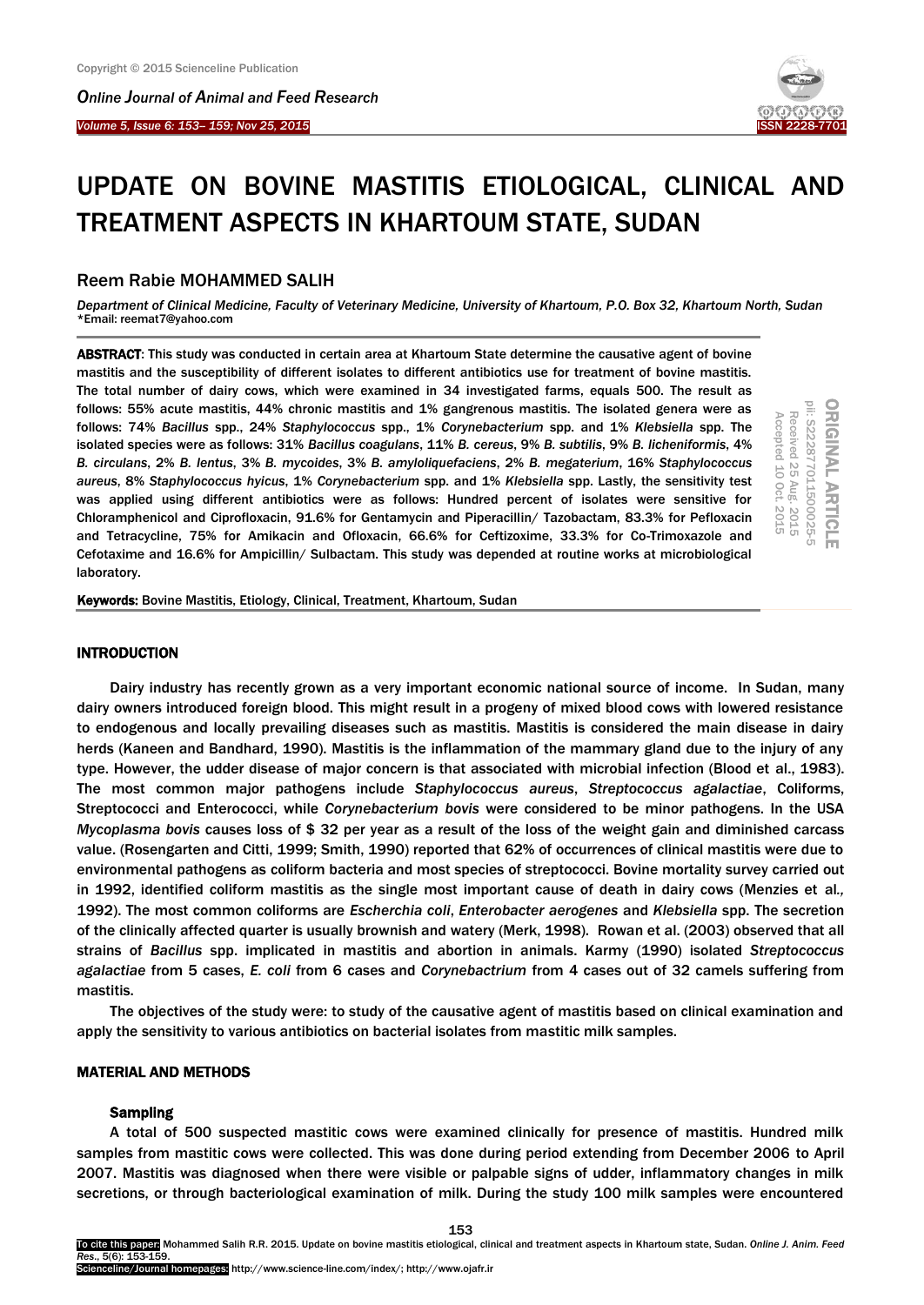*Online Journal of A[nimal and](http://www.ojafr.ir/main/) Feed Research*





# UPDATE ON BOVINE MASTITIS ETIOLOGICAL, CLINICAL AND TREATMENT ASPECTS IN KHARTOUM STATE, SUDAN

# Reem Rabie MOHAMMED SALIH

*Department of Clinical Medicine, Faculty of Veterinary Medicine, University of Khartoum, P.O. Box 32, Khartoum North, Sudan* \*Email: reemat7@yahoo.com

ABSTRACT: This study was conducted in certain area at Khartoum State determine the causative agent of bovine mastitis and the susceptibility of different isolates to different antibiotics use for treatment of bovine mastitis. The total number of dairy cows, which were examined in 34 investigated farms, equals 500. The result as follows: 55% acute mastitis, 44% chronic mastitis and 1% gangrenous mastitis. The isolated genera were as follows: 74% *Bacillus* spp., 24% *Staphylococcus* spp., 1% *Corynebacterium* spp. and 1% *Klebsiella* spp. The isolated species were as follows: 31% *Bacillus coagulans*, 11% *B. cereus*, 9% *B. subtilis*, 9% *B. licheniformis*, 4% *B. circulans*, 2% *B. lentus*, 3% *B. mycoides*, 3% *B. amyloliquefaciens*, 2% *B. megaterium*, 16% *Staphylococcus aureus*, 8% *Staphylococcus hyicus*, 1% *Corynebacterium* spp. and 1% *Klebsiella* spp. Lastly, the sensitivity test was applied using different antibiotics were as follows: Hundred percent of isolates were sensitive for Chloramphenicol and Ciprofloxacin, 91.6% for Gentamycin and Piperacillin/ Tazobactam, 83.3% for Pefloxacin and Tetracycline, 75% for Amikacin and Ofloxacin, 66.6% for Ceftizoxime, 33.3% for Co-Trimoxazole and Cefotaxime and 16.6% for Ampicillin/ Sulbactam. This study was depended at routine works at microbiological laboratory.

ORIGINAL ARTICLE<br><sup>pii: S22877011500025-5</sup> Received 25 Aug.<br>Accepted 10 Oct. Accepted 10 Received 25 Aug. 2015 Oct. 2015 2015 2015

Keywords: Bovine Mastitis, Etiology, Clinical, Treatment, Khartoum, Sudan

## **INTRODUCTION**

Dairy industry has recently grown as a very important economic national source of income. In Sudan, many dairy owners introduced foreign blood. This might result in a progeny of mixed blood cows with lowered resistance to endogenous and locally prevailing diseases such as mastitis. Mastitis is considered the main disease in dairy herds (Kaneen and Bandhard, 1990). Mastitis is the inflammation of the mammary gland due to the injury of any type. However, the udder disease of major concern is that associated with microbial infection (Blood et al., 1983). The most common major pathogens include *Staphylococcus aureus*, *Streptococcus agalactiae*, Coliforms, Streptococci and Enterococci, while *Corynebacterium bovis* were considered to be minor pathogens. In the USA *Mycoplasma bovis* causes loss of \$ 32 per year as a result of the loss of the weight gain and diminished carcass value. (Rosengarten and Citti, 1999; Smith, 1990) reported that 62% of occurrences of clinical mastitis were due to environmental pathogens as coliform bacteria and most species of streptococci. Bovine mortality survey carried out in 1992, identified coliform mastitis as the single most important cause of death in dairy cows (Menzies et al*.,*  1992). The most common coliforms are *Escherchia coli*, *Enterobacter aerogenes* and *Klebsiella* spp. The secretion of the clinically affected quarter is usually brownish and watery (Merk, 1998). Rowan et al. (2003) observed that all strains of *Bacillus* spp. implicated in mastitis and abortion in animals. Karmy (1990) isolated *Streptococcus agalactiae* from 5 cases, *E. coli* from 6 cases and *Corynebactrium* from 4 cases out of 32 camels suffering from mastitis.

The objectives of the study were: to study of the causative agent of mastitis based on clinical examination and apply the sensitivity to various antibiotics on bacterial isolates from mastitic milk samples.

#### MATERIAL AND METHODS

#### Sampling

A total of 500 suspected mastitic cows were examined clinically for presence of mastitis. Hundred milk samples from mastitic cows were collected. This was done during period extending from December 2006 to April 2007. Mastitis was diagnosed when there were visible or palpable signs of udder, inflammatory changes in milk secretions, or through bacteriological examination of milk. During the study 100 milk samples were encountered

To cite this paper: Mohammed Salih R.R. 2015. Update on bovine mastitis etiological, clinical and treatment aspects in Khartoum state, Sudan. *Online J. Anim. Feed Res*., 5(6): 153-159.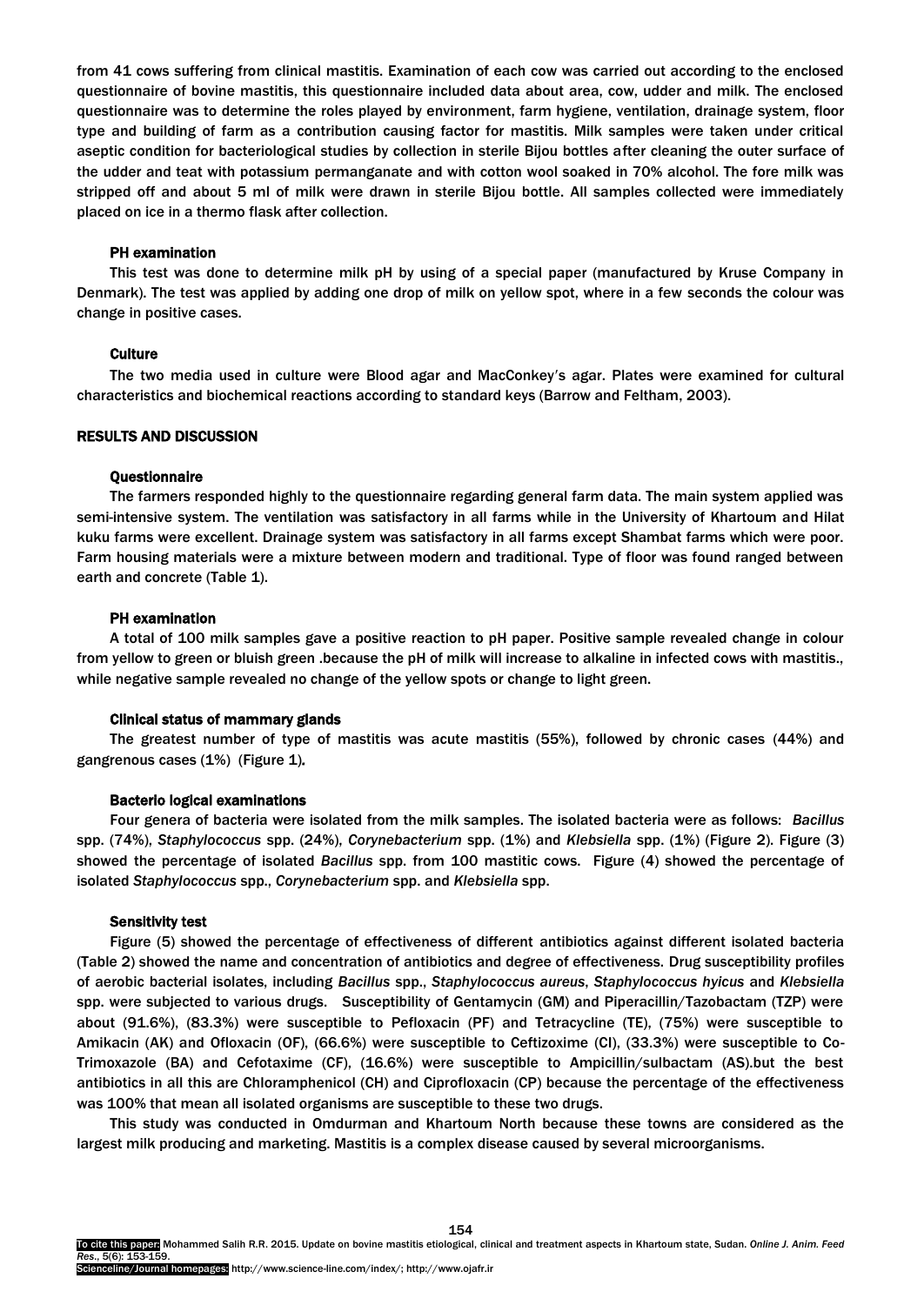from 41 cows suffering from clinical mastitis. Examination of each cow was carried out according to the enclosed questionnaire of bovine mastitis, this questionnaire included data about area, cow, udder and milk. The enclosed questionnaire was to determine the roles played by environment, farm hygiene, ventilation, drainage system, floor type and building of farm as a contribution causing factor for mastitis. Milk samples were taken under critical aseptic condition for bacteriological studies by collection in sterile Bijou bottles after cleaning the outer surface of the udder and teat with potassium permanganate and with cotton wool soaked in 70% alcohol. The fore milk was stripped off and about 5 ml of milk were drawn in sterile Bijou bottle. All samples collected were immediately placed on ice in a thermo flask after collection.

#### PH examination

This test was done to determine milk pH by using of a special paper (manufactured by Kruse Company in Denmark). The test was applied by adding one drop of milk on yellow spot, where in a few seconds the colour was change in positive cases.

#### **Culture**

The two media used in culture were Blood agar and MacConkey's agar. Plates were examined for cultural characteristics and biochemical reactions according to standard keys (Barrow and Feltham, 2003).

## RESULTS AND DISCUSSION

#### Questionnaire

The farmers responded highly to the questionnaire regarding general farm data. The main system applied was semi-intensive system. The ventilation was satisfactory in all farms while in the University of Khartoum and Hilat kuku farms were excellent. Drainage system was satisfactory in all farms except Shambat farms which were poor. Farm housing materials were a mixture between modern and traditional. Type of floor was found ranged between earth and concrete (Table 1).

#### PH examination

A total of 100 milk samples gave a positive reaction to pH paper. Positive sample revealed change in colour from yellow to green or bluish green .because the pH of milk will increase to alkaline in infected cows with mastitis., while negative sample revealed no change of the yellow spots or change to light green.

#### Clinical status of mammary glands

The greatest number of type of mastitis was acute mastitis (55%), followed by chronic cases (44%) and gangrenous cases (1%) (Figure 1)*.* 

#### Bacterio logical examinations

Four genera of bacteria were isolated from the milk samples. The isolated bacteria were as follows: *Bacillus*  spp. (74%), *Staphylococcus* spp. (24%), *Corynebacterium* spp. (1%) and *Klebsiella* spp. (1%) (Figure 2). Figure (3) showed the percentage of isolated *Bacillus* spp. from 100 mastitic cows. Figure (4) showed the percentage of isolated *Staphylococcus* spp., *Corynebacterium* spp. and *Klebsiella* spp.

#### Sensitivity test

Figure (5) showed the percentage of effectiveness of different antibiotics against different isolated bacteria (Table 2) showed the name and concentration of antibiotics and degree of effectiveness. Drug susceptibility profiles of aerobic bacterial isolates, including *Bacillus* spp., *Staphylococcus aureus*, *Staphylococcus hyicus* and *Klebsiella* spp. were subjected to various drugs. Susceptibility of Gentamycin (GM) and Piperacillin/Tazobactam (TZP) were about (91.6%), (83.3%) were susceptible to Pefloxacin (PF) and Tetracycline (TE), (75%) were susceptible to Amikacin (AK) and Ofloxacin (OF), (66.6%) were susceptible to Ceftizoxime (CI), (33.3%) were susceptible to Co-Trimoxazole (BA) and Cefotaxime (CF), (16.6%) were susceptible to Ampicillin/sulbactam (AS).but the best antibiotics in all this are Chloramphenicol (CH) and Ciprofloxacin (CP) because the percentage of the effectiveness was 100% that mean all isolated organisms are susceptible to these two drugs.

This study was conducted in Omdurman and Khartoum North because these towns are considered as the largest milk producing and marketing. Mastitis is a complex disease caused by several microorganisms.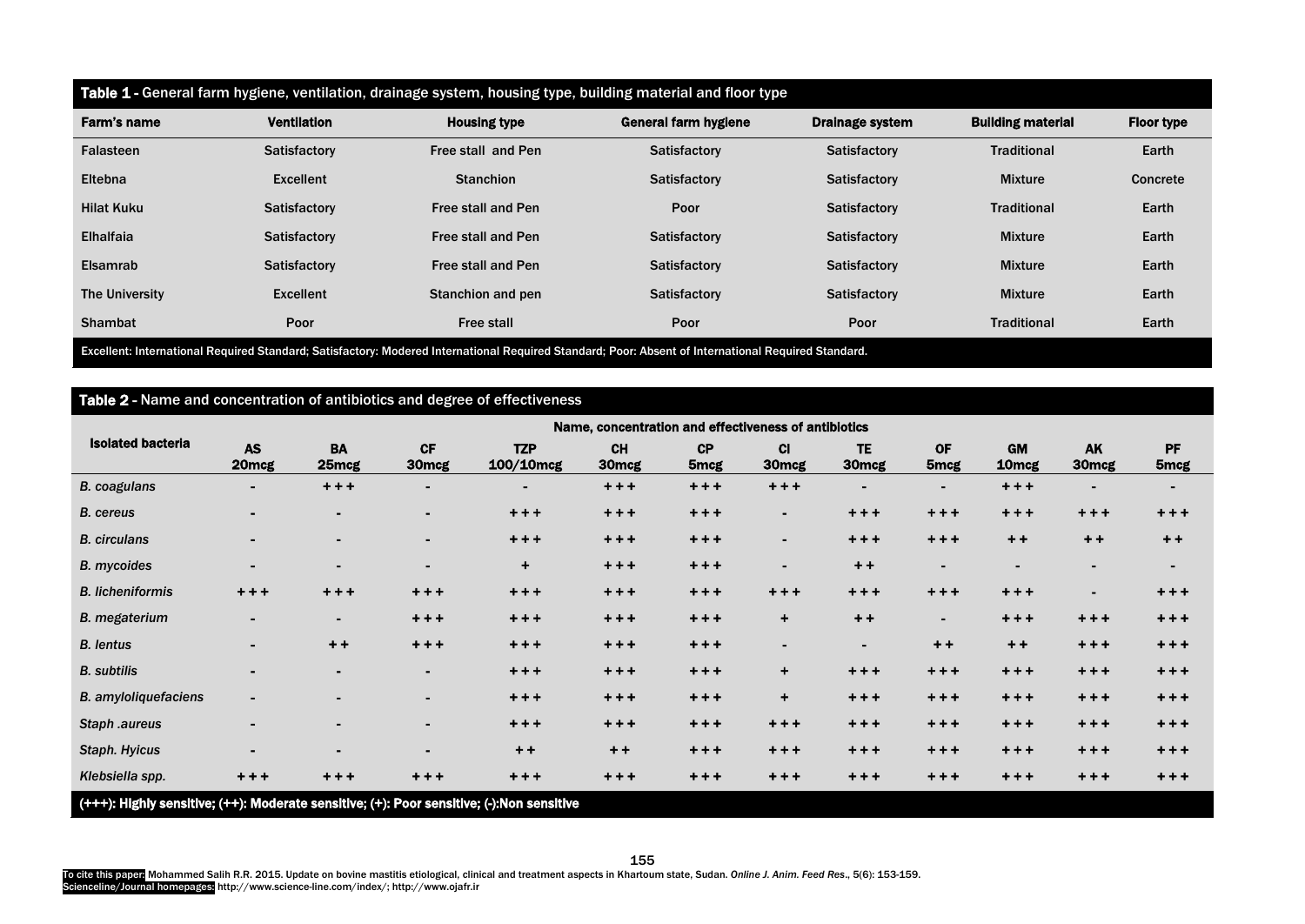| Table 1 - General farm hygiene, ventilation, drainage system, housing type, building material and floor type |                    |                     |                      |                        |                          |                   |  |  |  |
|--------------------------------------------------------------------------------------------------------------|--------------------|---------------------|----------------------|------------------------|--------------------------|-------------------|--|--|--|
| Farm's name                                                                                                  | <b>Ventilation</b> | <b>Housing type</b> | General farm hygiene | <b>Drainage system</b> | <b>Building material</b> | <b>Floor type</b> |  |  |  |
| Falasteen                                                                                                    | Satisfactory       | Free stall and Pen  | Satisfactory         | <b>Satisfactory</b>    | <b>Traditional</b>       | Earth             |  |  |  |
| Eltebna                                                                                                      | Excellent          | <b>Stanchion</b>    | Satisfactory         | <b>Satisfactory</b>    | <b>Mixture</b>           | Concrete          |  |  |  |
| <b>Hilat Kuku</b>                                                                                            | Satisfactory       | Free stall and Pen  | Poor                 | <b>Satisfactory</b>    | <b>Traditional</b>       | Earth             |  |  |  |
| Elhalfaia                                                                                                    | Satisfactory       | Free stall and Pen  | Satisfactory         | <b>Satisfactory</b>    | <b>Mixture</b>           | Earth             |  |  |  |
| Elsamrab                                                                                                     | Satisfactory       | Free stall and Pen  | Satisfactory         | Satisfactory           | <b>Mixture</b>           | Earth             |  |  |  |
| The University                                                                                               | Excellent          | Stanchion and pen   | Satisfactory         | Satisfactory           | <b>Mixture</b>           | Earth             |  |  |  |
| <b>Shambat</b>                                                                                               | Poor               | <b>Free stall</b>   | Poor                 | Poor                   | <b>Traditional</b>       | Earth             |  |  |  |

Excellent: International Required Standard; Satisfactory: Modered International Required Standard; Poor: Absent of International Required Standard.

# Table 2 - Name and concentration of antibiotics and degree of effectiveness

|                                                                                           | Name, concentration and effectiveness of antibiotics |                    |                                |                         |                                |                        |                           |                                |                               |                                |                                |                               |
|-------------------------------------------------------------------------------------------|------------------------------------------------------|--------------------|--------------------------------|-------------------------|--------------------------------|------------------------|---------------------------|--------------------------------|-------------------------------|--------------------------------|--------------------------------|-------------------------------|
| <b>Isolated bacteria</b>                                                                  | <b>AS</b><br>20 <sub>mcg</sub>                       | <b>BA</b><br>25mcg | <b>CF</b><br>30 <sub>mcg</sub> | <b>TZP</b><br>100/10mcg | <b>CH</b><br>30 <sub>mcg</sub> | CP<br>5 <sub>mcg</sub> | $CI$<br>30 <sub>mcg</sub> | <b>TE</b><br>30 <sub>mcg</sub> | <b>OF</b><br>5 <sub>mcg</sub> | <b>GM</b><br>10 <sub>mcg</sub> | <b>AK</b><br>30 <sub>mcg</sub> | <b>PF</b><br>5 <sub>mcg</sub> |
| <b>B.</b> coagulans                                                                       | $\blacksquare$                                       | $+ + +$            | $\blacksquare$                 | $\blacksquare$          | $+ + +$                        | $+ + +$                | $+ + +$                   | m.                             | $\blacksquare$                | $+ + +$                        | $\sim$                         |                               |
| <b>B.</b> cereus                                                                          |                                                      | $\sim$             | $\blacksquare$                 | $+ + +$                 | $+ + +$                        | $+ + +$                | $\blacksquare$            | $+ + +$                        | $+ + +$                       | $+ + +$                        | $+ + +$                        | $+ + +$                       |
| <b>B.</b> circulans                                                                       | $\blacksquare$                                       | ۰.                 | $\blacksquare$                 | $+ + +$                 | $+ + +$                        | $+ + +$                | $\sim$                    | $+ + +$                        | $+ + +$                       | $+ +$                          | $+ +$                          | $+ +$                         |
| <b>B.</b> mycoides                                                                        | $\blacksquare$                                       | m.                 | $\blacksquare$                 | $\ddot{}$               | $+ + +$                        | $+ + +$                | $\sim$                    | $+ +$                          | $\blacksquare$                | $\blacksquare$                 | $\sim$                         | $\blacksquare$                |
| <b>B.</b> licheniformis                                                                   | $+ + +$                                              | $+ + +$            | $+ + +$                        | $+ + +$                 | $+ + +$                        | $+ + +$                | $+ + +$                   | $+ + +$                        | $+ + +$                       | $+ + +$                        | $\blacksquare$                 | $+ + +$                       |
| <b>B.</b> megaterium                                                                      | $\blacksquare$                                       | $\sim$             | $+ + +$                        | $+ + +$                 | $+ + +$                        | $+ + +$                | $\pm$                     | $+ +$                          | $\sim$                        | $+ + +$                        | $+ + +$                        | $+ + +$                       |
| <b>B.</b> lentus                                                                          | $\blacksquare$                                       | $+ +$              | $+ + +$                        | $+ + +$                 | $+ + +$                        | $+ + +$                | $\sim$                    | $\sim$                         | $+ +$                         | $+ +$                          | $+ + +$                        | $+ + +$                       |
| <b>B.</b> subtilis                                                                        | $\blacksquare$                                       | $\blacksquare$     | $\blacksquare$                 | $+ + +$                 | $+ + +$                        | $+ + +$                | ÷                         | $+ + +$                        | $+ + +$                       | $+ + +$                        | $+ + +$                        | $+ + +$                       |
| <b>B.</b> amyloliquefaciens                                                               | $\blacksquare$                                       | $\sim$             | $\blacksquare$                 | $+ + +$                 | $+ + +$                        | $+ + +$                | $\pm$                     | $+ + +$                        | $+ + +$                       | $+ + +$                        | $+ + +$                        | $+ + +$                       |
| Staph .aureus                                                                             | $\blacksquare$                                       | ж.                 | $\blacksquare$                 | $+ + +$                 | $+ + +$                        | $+ + +$                | $+ + +$                   | $+ + +$                        | $+ + +$                       | $+ + +$                        | $+ + +$                        | $+ + +$                       |
| Staph. Hyicus                                                                             | $\blacksquare$                                       | $\blacksquare$     | $\blacksquare$                 | $+ +$                   | $++$                           | $+ + +$                | $+ + +$                   | $+ + +$                        | $+ + +$                       | $+ + +$                        | $+ + +$                        | $+ + +$                       |
| Klebsiella spp.                                                                           | $+ + +$                                              | $+ + +$            | $+ + +$                        | $+ + +$                 | $+ + +$                        | $+ + +$                | $+ + +$                   | $+ + +$                        | $+ + +$                       | $+ + +$                        | $+ + +$                        | $+ + +$                       |
| (+++): Highly sensitive; (++): Moderate sensitive; (+): Poor sensitive; (-):Non sensitive |                                                      |                    |                                |                         |                                |                        |                           |                                |                               |                                |                                |                               |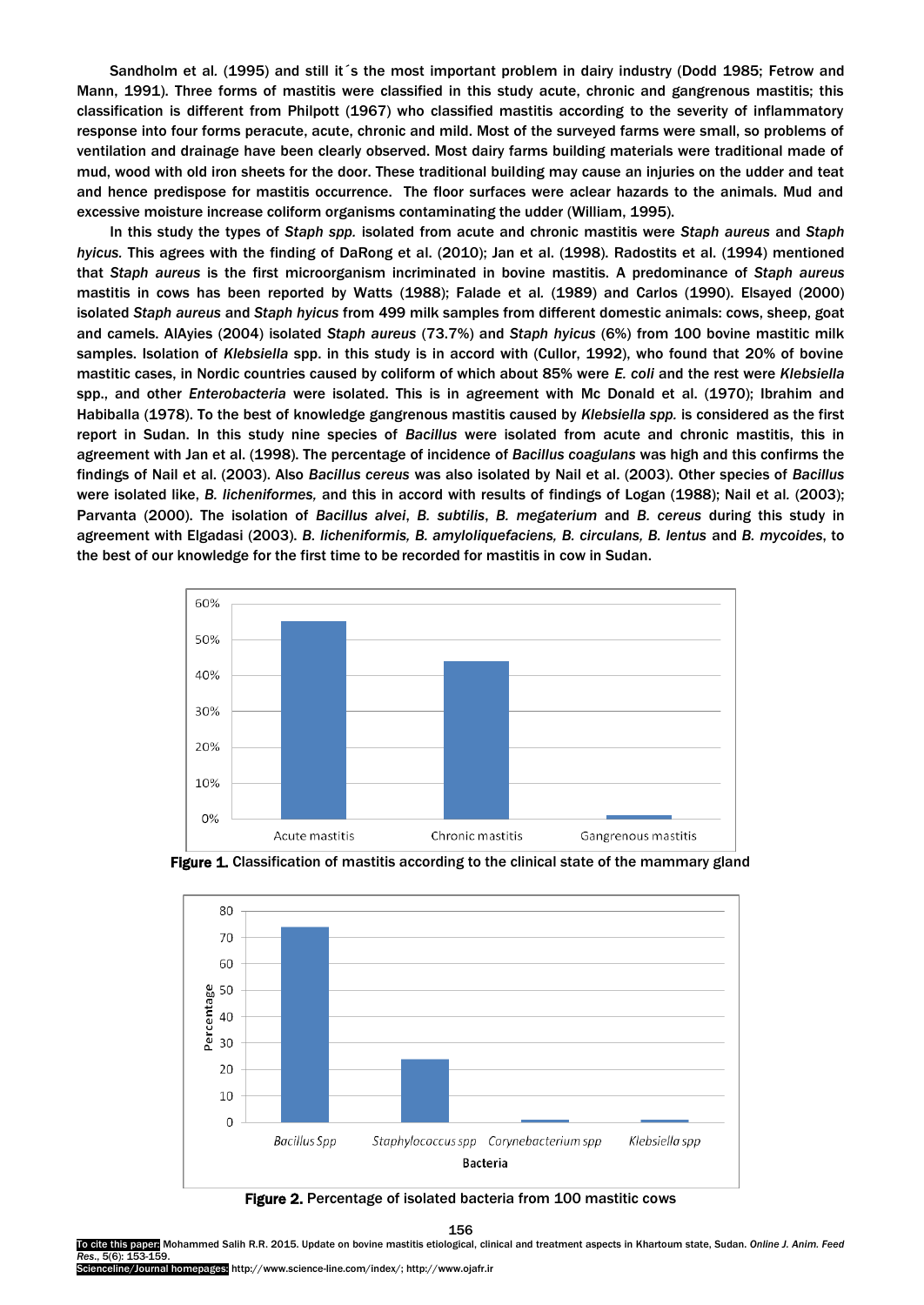Sandholm et al*.* (1995) and still it´s the most important problem in dairy industry (Dodd 1985; Fetrow and Mann, 1991). Three forms of mastitis were classified in this study acute, chronic and gangrenous mastitis; this classification is different from Philpott (1967) who classified mastitis according to the severity of inflammatory response into four forms peracute, acute, chronic and mild. Most of the surveyed farms were small, so problems of ventilation and drainage have been clearly observed. Most dairy farms building materials were traditional made of mud, wood with old iron sheets for the door. These traditional building may cause an injuries on the udder and teat and hence predispose for mastitis occurrence. The floor surfaces were aclear hazards to the animals. Mud and excessive moisture increase coliform organisms contaminating the udder (William, 1995).

In this study the types of *Staph spp.* isolated from acute and chronic mastitis were *Staph aureus* and *Staph hyicus.* This agrees with the finding of DaRong et al. (2010); Jan et al. (1998). Radostits et al. (1994) mentioned that *Staph aureus* is the first microorganism incriminated in bovine mastitis. A predominance of *Staph aureus* mastitis in cows has been reported by Watts (1988); Falade et al*.* (1989) and Carlos (1990). Elsayed (2000) isolated *Staph aureus* and *Staph hyicus* from 499 milk samples from different domestic animals: cows, sheep, goat and camels. AlAyies (2004) isolated *Staph aureus* (73.7%) and *Staph hyicus* (6%) from 100 bovine mastitic milk samples. Isolation of *Klebsiella* spp. in this study is in accord with (Cullor, 1992), who found that 20% of bovine mastitic cases, in Nordic countries caused by coliform of which about 85% were *E. coli* and the rest were *Klebsiella*  spp., and other *Enterobacteria* were isolated. This is in agreement with Mc Donald et al. (1970); Ibrahim and Habiballa (1978). To the best of knowledge gangrenous mastitis caused by *Klebsiella spp.* is considered as the first report in Sudan. In this study nine species of *Bacillus* were isolated from acute and chronic mastitis, this in agreement with Jan et al. (1998). The percentage of incidence of *Bacillus coagulans* was high and this confirms the findings of Nail et al. (2003). Also *Bacillus cereus* was also isolated by Nail et al. (2003). Other species of *Bacillus*  were isolated like, *B. licheniformes,* and this in accord with results of findings of Logan (1988); Nail et al*.* (2003); Parvanta (2000). The isolation of *Bacillus alvei*, *B. subtilis*, *B. megaterium* and *B. cereus* during this study in agreement with Elgadasi (2003). *B. licheniformis, B. amyloliquefaciens, B. circulans, B. lentus* and *B. mycoides*, to the best of our knowledge for the first time to be recorded for mastitis in cow in Sudan.







Figure 2. Percentage of isolated bacteria from 100 mastitic cows

156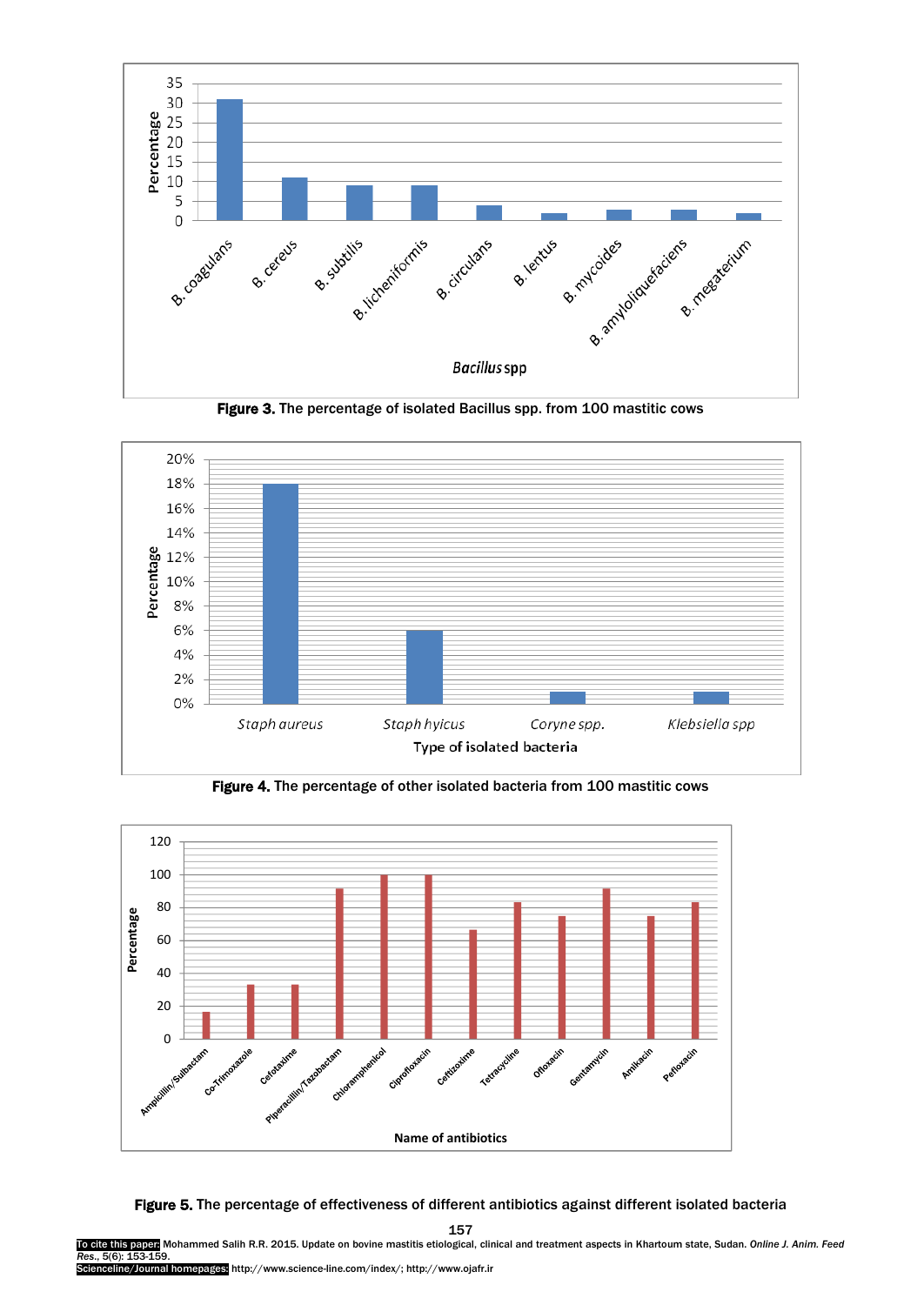

Figure 3. The percentage of isolated Bacillus spp. from 100 mastitic cows



Figure 4. The percentage of other isolated bacteria from 100 mastitic cows



#### Figure 5. The percentage of effectiveness of different antibiotics against different isolated bacteria

157

To cite this paper: Mohammed Salih R.R. 2015. Update on bovine mastitis etiological, clinical and treatment aspects in Khartoum state, Sudan. *Online J. Anim. Feed Res*., 5(6): 153-159.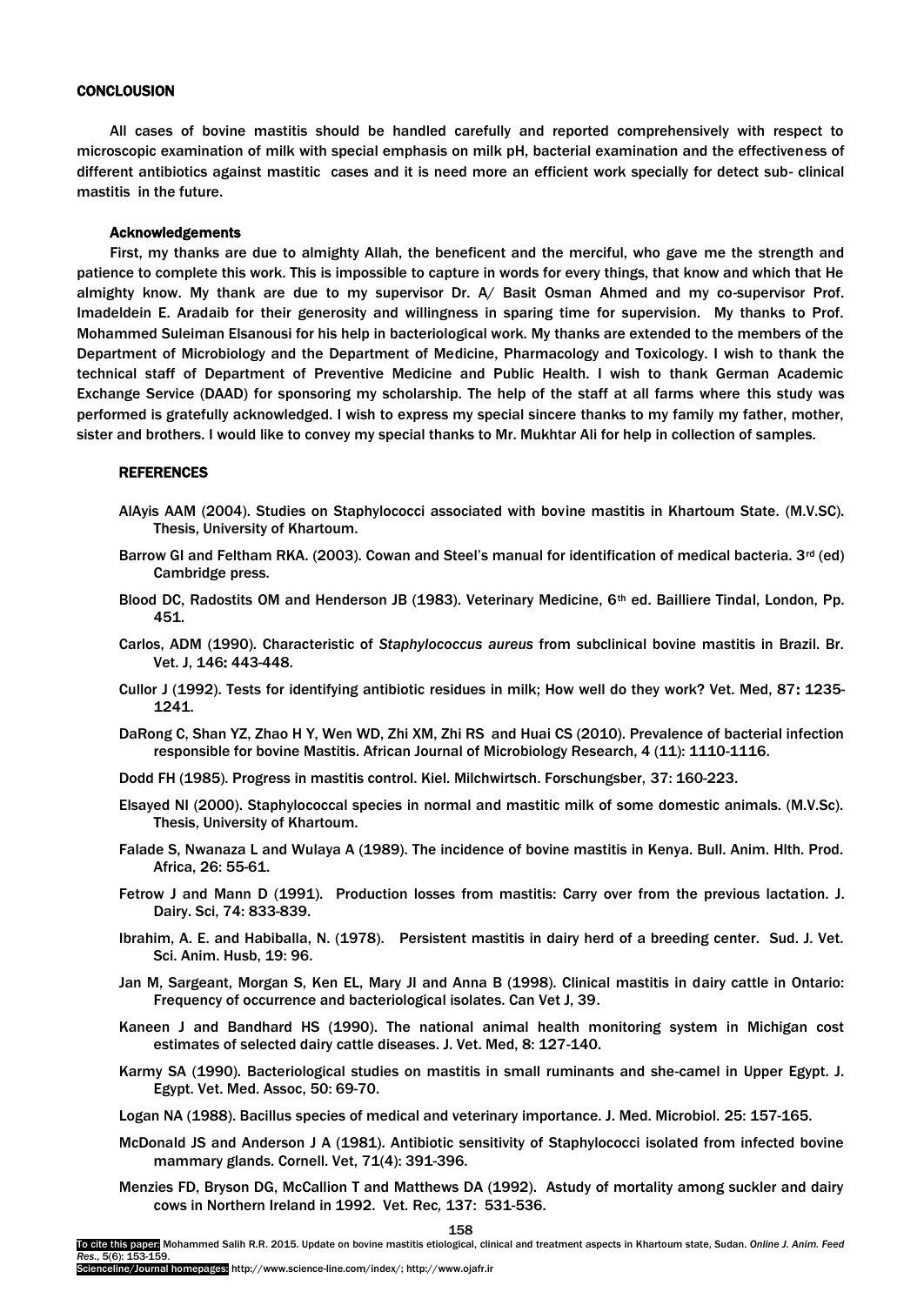#### **CONCLOUSION**

All cases of bovine mastitis should be handled carefully and reported comprehensively with respect to microscopic examination of milk with special emphasis on milk pH, bacterial examination and the effectiveness of different antibiotics against mastitic cases and it is need more an efficient work specially for detect sub- clinical mastitis in the future.

#### Acknowledgements

First, my thanks are due to almighty Allah, the beneficent and the merciful, who gave me the strength and patience to complete this work. This is impossible to capture in words for every things, that know and which that He almighty know. My thank are due to my supervisor Dr. A/ Basit Osman Ahmed and my co-supervisor Prof. Imadeldein E. Aradaib for their generosity and willingness in sparing time for supervision. My thanks to Prof. Mohammed Suleiman Elsanousi for his help in bacteriological work. My thanks are extended to the members of the Department of Microbiology and the Department of Medicine, Pharmacology and Toxicology. I wish to thank the technical staff of Department of Preventive Medicine and Public Health. I wish to thank German Academic Exchange Service (DAAD) for sponsoring my scholarship. The help of the staff at all farms where this study was performed is gratefully acknowledged. I wish to express my special sincere thanks to my family my father, mother, sister and brothers. I would like to convey my special thanks to Mr. Mukhtar Ali for help in collection of samples.

## **REFERENCES**

- AlAyis AAM (2004). Studies on Staphylococci associated with bovine mastitis in Khartoum State. (M.V.SC). Thesis, University of Khartoum.
- Barrow GI and Feltham RKA. (2003). Cowan and Steel's manual for identification of medical bacteria.  $3^{rd}$  (ed) Cambridge press.
- Blood DC, Radostits OM and Henderson JB (1983). Veterinary Medicine, 6th ed. Bailliere Tindal, London, Pp. 451.
- Carlos, ADM (1990). Characteristic of *Staphylococcus aureus* from subclinical bovine mastitis in Brazil. Br. Vet. J, 146: 443-448.
- Cullor J (1992). Tests for identifying antibiotic residues in milk; How well do they work? Vet. Med, 87: 1235- 1241.
- DaRong C, Shan YZ, Zhao H Y, Wen WD, Zhi XM, Zhi RS and Huai CS (2010). Prevalence of bacterial infection responsible for bovine Mastitis. African Journal of Microbiology Research, 4 (11): 1110-1116.
- Dodd FH (1985). Progress in mastitis control. Kiel. Milchwirtsch. Forschungsber, 37: 160-223.
- Elsayed NI (2000). Staphylococcal species in normal and mastitic milk of some domestic animals. (M.V.Sc). Thesis, University of Khartoum.
- Falade S, Nwanaza L and Wulaya A (1989). The incidence of bovine mastitis in Kenya. Bull. Anim. Hlth. Prod. Africa, 26: 55-61.
- Fetrow J and Mann D (1991). Production losses from mastitis: Carry over from the previous lactation. J. Dairy. Sci, 74: 833-839.
- Ibrahim, A. E. and Habiballa, N. (1978). Persistent mastitis in dairy herd of a breeding center. Sud. J. Vet. Sci. Anim. Husb, 19: 96.
- Jan M, Sargeant, Morgan S, Ken EL, Mary JI and Anna B (1998). Clinical mastitis in dairy cattle in Ontario: Frequency of occurrence and bacteriological isolates. Can Vet J, 39.
- Kaneen J and Bandhard HS (1990). The national animal health monitoring system in Michigan cost estimates of selected dairy cattle diseases. J. Vet. Med, 8: 127-140.
- Karmy SA (1990). Bacteriological studies on mastitis in small ruminants and she-camel in Upper Egypt. J. Egypt. Vet. Med. Assoc, 50: 69-70.
- Logan NA (1988). Bacillus species of medical and veterinary importance. J. Med. Microbiol. 25: 157-165.
- McDonald JS and Anderson J A (1981). Antibiotic sensitivity of Staphylococci isolated from infected bovine mammary glands. Cornell. Vet, 71(4): 391-396.
- Menzies FD, Bryson DG, McCallion T and Matthews DA (1992). Astudy of mortality among suckler and dairy cows in Northern Ireland in 1992. Vet*.* Rec*,* 137: 531-536.

158